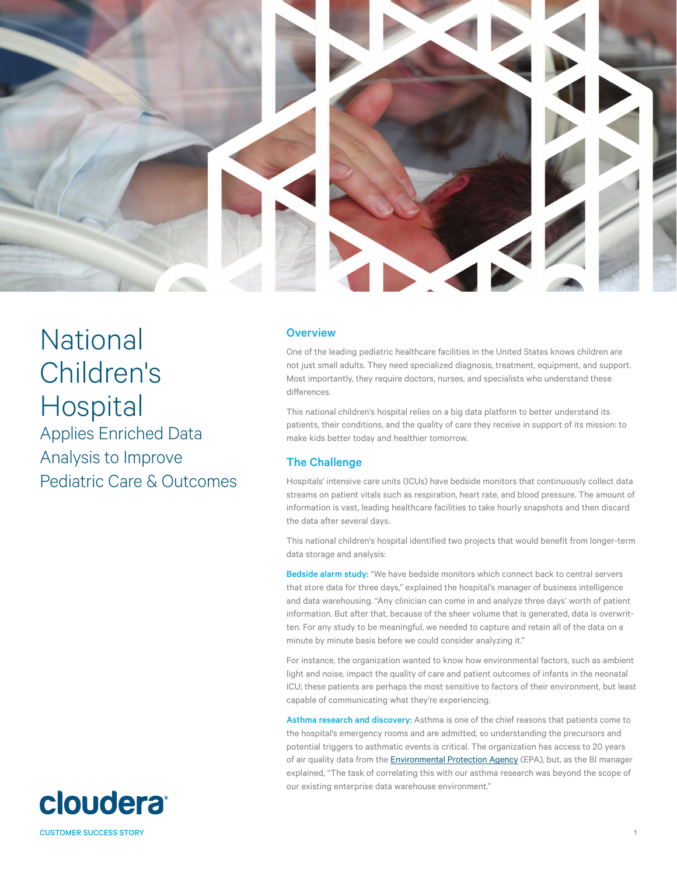

National Children's Hospital Applies Enriched Data Analysis to Improve Pediatric Care & Outcomes

## **Overview**

One of the leading pediatric healthcare facilities in the United States knows children are not just small adults. They need specialized diagnosis, treatment, equipment, and support. Most importantly, they require doctors, nurses, and specialists who understand these differences.

This national children's hospital relies on a big data platform to better understand its patients, their conditions, and the quality of care they receive in support of its mission: to make kids better today and healthier tomorrow.

# The Challenge

Hospitals' intensive care units (ICUs) have bedside monitors that continuously collect data streams on patient vitals such as respiration, heart rate, and blood pressure. The amount of information is vast, leading healthcare facilities to take hourly snapshots and then discard the data after several days.

This national children's hospital identified two projects that would benefit from longer-term data storage and analysis:

Bedside alarm study: "We have bedside monitors which connect back to central servers that store data for three days," explained the hospital's manager of business intelligence and data warehousing. "Any clinician can come in and analyze three days' worth of patient information. But after that, because of the sheer volume that is generated, data is overwritten. For any study to be meaningful, we needed to capture and retain all of the data on a minute by minute basis before we could consider analyzing it."

For instance, the organization wanted to know how environmental factors, such as ambient light and noise, impact the quality of care and patient outcomes of infants in the neonatal ICU; these patients are perhaps the most sensitive to factors of their environment, but least capable of communicating what they're experiencing.

Asthma research and discovery: Asthma is one of the chief reasons that patients come to the hospital's emergency rooms and are admitted, so understanding the precursors and potential triggers to asthmatic events is critical. The organization has access to 20 years of air quality data from the *Environmental Protection Agency* (EPA), but, as the BI manager explained, "The task of correlating this with our asthma research was beyond the scope of our existing enterprise data warehouse environment."

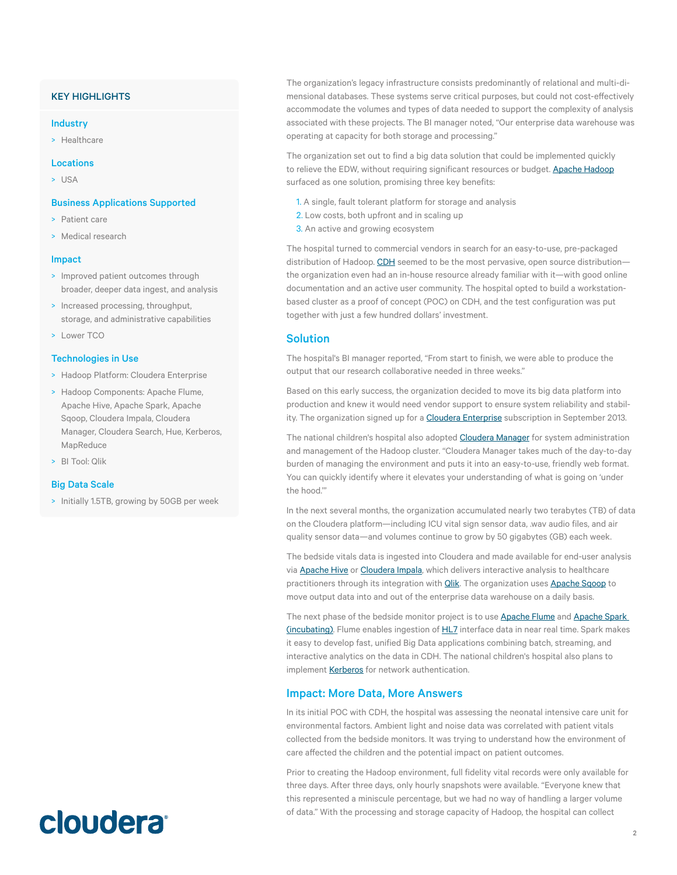# KEY HIGHLIGHTS

### Industry

> Healthcare

#### Locations

> USA

### Business Applications Supported

- > Patient care
- > Medical research

#### Impact

- > Improved patient outcomes through broader, deeper data ingest, and analysis
- > Increased processing, throughput, storage, and administrative capabilities
- > Lower TCO

## Technologies in Use

- > Hadoop Platform: Cloudera Enterprise
- > Hadoop Components: Apache Flume, Apache Hive, Apache Spark, Apache Sqoop, Cloudera Impala, Cloudera Manager, Cloudera Search, Hue, Kerberos, MapReduce
- > BI Tool: Qlik

## Big Data Scale

> Initially 1.5TB, growing by 50GB per week

The organization's legacy infrastructure consists predominantly of relational and multi-dimensional databases. These systems serve critical purposes, but could not cost-effectively accommodate the volumes and types of data needed to support the complexity of analysis associated with these projects. The BI manager noted, "Our enterprise data warehouse was operating at capacity for both storage and processing."

The organization set out to find a big data solution that could be implemented quickly to relieve the EDW, without requiring significant resources or budget. [Apache Hadoop](http://www.cloudera.com/content/cloudera/en/about/hadoop-and-big-data.html) surfaced as one solution, promising three key benefits:

- 1. A single, fault tolerant platform for storage and analysis
- 2. Low costs, both upfront and in scaling up
- 3. An active and growing ecosystem

The hospital turned to commercial vendors in search for an easy-to-use, pre-packaged distribution of Hadoop. CDH seemed to be the most pervasive, open source distributionthe organization even had an in-house resource already familiar with it—with good online documentation and an active user community. The hospital opted to build a workstationbased cluster as a proof of concept (POC) on CDH, and the test configuration was put together with just a few hundred dollars' investment.

## Solution

The hospital's BI manager reported, "From start to finish, we were able to produce the output that our research collaborative needed in three weeks."

Based on this early success, the organization decided to move its big data platform into production and knew it would need vendor support to ensure system reliability and stability. The organization signed up for a **[Cloudera Enterprise](http://www.cloudera.com/content/cloudera/en/products-and-services/cloudera-enterprise.html)** subscription in September 2013.

The national children's hospital also adopted **[Cloudera Manager](http://www.cloudera.com/content/cloudera/en/products-and-services/cloudera-enterprise/cloudera-manager.html)** for system administration and management of the Hadoop cluster. "Cloudera Manager takes much of the day-to-day burden of managing the environment and puts it into an easy-to-use, friendly web format. You can quickly identify where it elevates your understanding of what is going on 'under the hood.'"

In the next several months, the organization accumulated nearly two terabytes (TB) of data on the Cloudera platform—including ICU vital sign sensor data, .wav audio files, and air quality sensor data—and volumes continue to grow by 50 gigabytes (GB) each week.

The bedside vitals data is ingested into Cloudera and made available for end-user analysis via **Apache Hive** or **Cloudera Impala**, which delivers interactive analysis to healthcare practitioners through its integration with **Qlik**. The organization uses **Apache Sqoop** to move output data into and out of the enterprise data warehouse on a daily basis.

The next phase of the bedside monitor project is to use [Apache Flume](http://www.cloudera.com/content/cloudera-content/cloudera-docs/Glossary/Cloudera-Glossary.html) and Apache Spark [\(incubating\)](http://www.cloudera.com/content/cloudera/en/products-and-services/cdh/spark.html). Flume enables ingestion of [HL7](http://www.hl7.org/) interface data in near real time. Spark makes it easy to develop fast, unified Big Data applications combining batch, streaming, and interactive analytics on the data in CDH. The national children's hospital also plans to implement [Kerberos](http://www.cloudera.com/content/cloudera-content/cloudera-docs/Glossary/Cloudera-Glossary.html) for network authentication.

### Impact: More Data, More Answers

In its initial POC with CDH, the hospital was assessing the neonatal intensive care unit for environmental factors. Ambient light and noise data was correlated with patient vitals collected from the bedside monitors. It was trying to understand how the environment of care affected the children and the potential impact on patient outcomes.

Prior to creating the Hadoop environment, full fidelity vital records were only available for three days. After three days, only hourly snapshots were available. "Everyone knew that this represented a miniscule percentage, but we had no way of handling a larger volume of data." With the processing and storage capacity of Hadoop, the hospital can collect

# **cloudera**